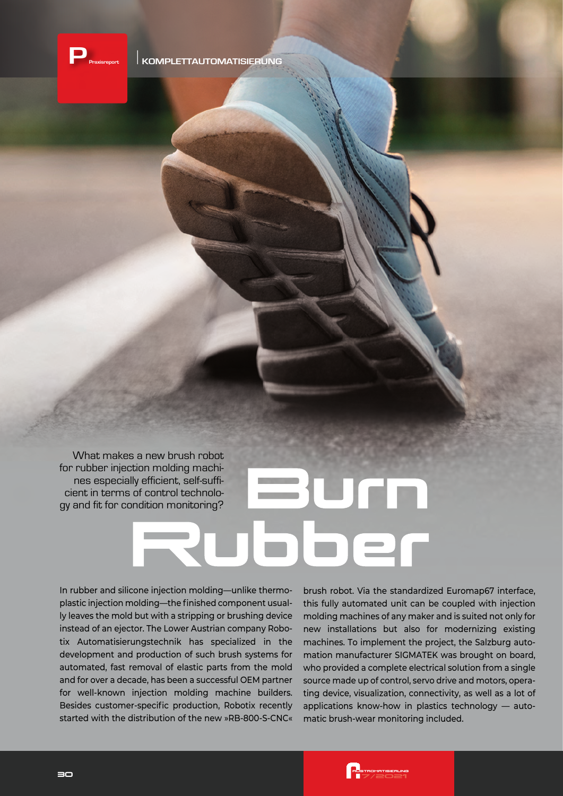

What makes a new brush robot for rubber injection molding machines especially efficient, self-sufficient in terms of control technology and fit for condition monitoring?

In rubber and silicone injection molding—unlike thermoplastic injection molding—the finished component usually leaves the mold but with a stripping or brushing device instead of an ejector. The Lower Austrian company Robotix Automatisierungstechnik has specialized in the development and production of such brush systems for automated, fast removal of elastic parts from the mold and for over a decade, has been a successful OEM partner for well-known injection molding machine builders. Besides customer-specific production, Robotix recently started with the distribution of the new »RB-800-S-CNC«

brush robot. Via the standardized Euromap67 interface, this fully automated unit can be coupled with injection molding machines of any maker and is suited not only for new installations but also for modernizing existing machines. To implement the project, the Salzburg automation manufacturer SIGMATEK was brought on board, who provided a complete electrical solution from a single source made up of control, servo drive and motors, operating device, visualization, connectivity, as well as a lot of applications know-how in plastics technology — automatic brush-wear monitoring included.

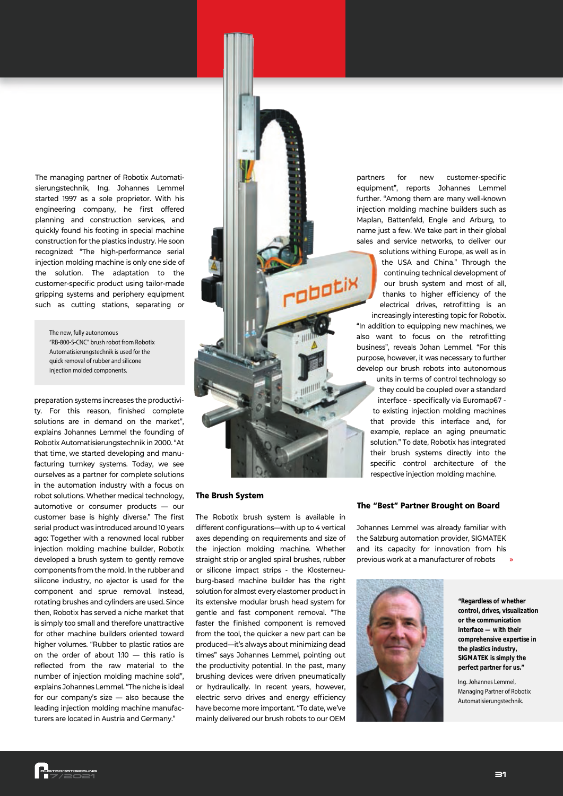The managing partner of Robotix Automatisierungstechnik, Ing. Johannes Lemmel started 1997 as a sole proprietor. With his engineering company, he first offered planning and construction services, and quickly found his footing in special machine construction for the plastics industry. He soon recognized: "The high-performance serial injection molding machine is only one side of the solution. The adaptation to the customer-specific product using tailor-made gripping systems and periphery equipment such as cutting stations, separating or

*The new, fully autonomous "RB-800-S-CNC" brush robot from Robotix Automatisierungstechnik is used for the quick removal of rubber and silicone injection molded components.* 

preparation systems increases the productivity. For this reason, finished complete solutions are in demand on the market", explains Johannes Lemmel the founding of Robotix Automatisierungstechnik in 2000. "At that time, we started developing and manufacturing turnkey systems. Today, we see ourselves as a partner for complete solutions in the automation industry with a focus on robot solutions. Whether medical technology, automotive or consumer products — our customer base is highly diverse." The first serial product was introduced around 10 years ago: Together with a renowned local rubber injection molding machine builder, Robotix developed a brush system to gently remove components from the mold. In the rubber and silicone industry, no ejector is used for the component and sprue removal. Instead, rotating brushes and cylinders are used. Since then, Robotix has served a niche market that is simply too small and therefore unattractive for other machine builders oriented toward higher volumes. "Rubber to plastic ratios are on the order of about 1:10 — this ratio is reflected from the raw material to the number of injection molding machine sold", explains Johannes Lemmel. "The niche is ideal for our company's size — also because the leading injection molding machine manufacturers are located in Austria and Germany."



#### The Brush System

The Robotix brush system is available in different configurations—with up to 4 vertical axes depending on requirements and size of the injection molding machine. Whether straight strip or angled spiral brushes, rubber or silicone impact strips - the Klosterneuburg-based machine builder has the right solution for almost every elastomer product in its extensive modular brush head system for gentle and fast component removal. "The faster the finished component is removed from the tool, the quicker a new part can be produced—it's always about minimizing dead times" says Johannes Lemmel, pointing out the productivity potential. In the past, many brushing devices were driven pneumatically or hydraulically. In recent years, however, electric servo drives and energy efficiency have become more important. "To date, we've mainly delivered our brush robots to our OEM

partners for new customer-specific equipment", reports Johannes Lemmel further. "Among them are many well-known injection molding machine builders such as Maplan, Battenfeld, Engle and Arburg, to name just a few. We take part in their global sales and service networks, to deliver our

> solutions withing Europe, as well as in the USA and China." Through the continuing technical development of our brush system and most of all, thanks to higher efficiency of the electrical drives, retrofitting is an increasingly interesting topic for Robotix.

"In addition to equipping new machines, we also want to focus on the retrofitting business", reveals Johan Lemmel. "For this purpose, however, it was necessary to further develop our brush robots into autonomous

units in terms of control technology so they could be coupled over a standard interface - specifically via Euromap67 to existing injection molding machines that provide this interface and, for example, replace an aging pneumatic solution." To date, Robotix has integrated their brush systems directly into the specific control architecture of the respective injection molding machine.

### The "Best" Partner Brought on Board

**»** Johannes Lemmel was already familiar with the Salzburg automation provider, SIGMATEK and its capacity for innovation from his previous work at a manufacturer of robots



**"Regardless of whether control, drives, visualization or the communication interface — with their comprehensive expertise in the plastics industry, SIGMATEK is simply the perfect partner for us."**

*Ing. Johannes Lemmel, Managing Partner of Robotix Automatisierungstechnik.*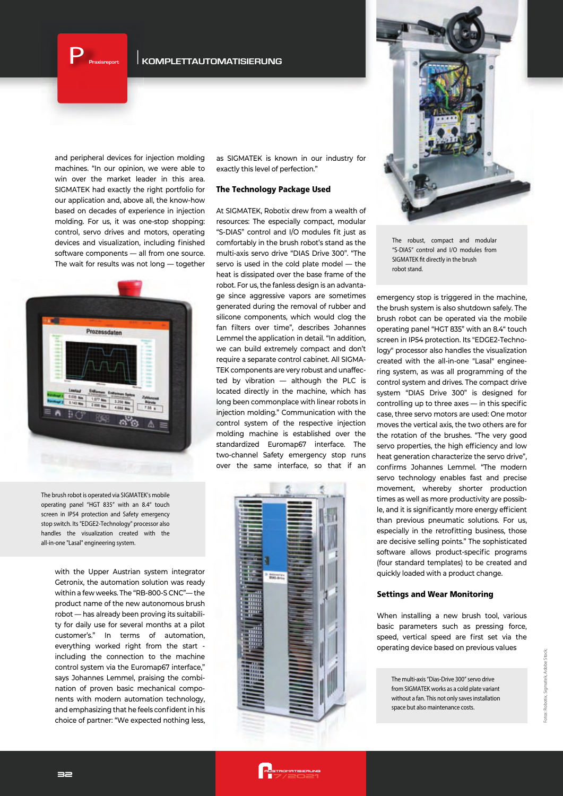$\begin{bmatrix} \mathbf{P} \\ \mathbf{P} \end{bmatrix}$  Praxisreport

**Praxisreport KOMPLETTAUTOMATISIERUNG**

and peripheral devices for injection molding machines. "In our opinion, we were able to win over the market leader in this area. SIGMATEK had exactly the right portfolio for our application and, above all, the know-how based on decades of experience in injection molding. For us, it was one-stop shopping: control, servo drives and motors, operating devices and visualization, including finished software components — all from one source. The wait for results was not long — together



*The brush robot is operated via SIGMATEK's mobile operating panel "HGT 835" with an 8.4" touch screen in IP54 protection and Safety emergency stop switch. Its "EDGE2-Technology" processor also handles the visualization created with the all-in-one "Lasal" engineering system.*

> with the Upper Austrian system integrator Getronix, the automation solution was ready within a few weeks. The "RB-800-S CNC"— the product name of the new autonomous brush robot — has already been proving its suitability for daily use for several months at a pilot customer's." In terms of automation, everything worked right from the start including the connection to the machine control system via the Euromap67 interface," says Johannes Lemmel, praising the combination of proven basic mechanical components with modern automation technology, and emphasizing that he feels confident in his choice of partner: "We expected nothing less,

as SIGMATEK is known in our industry for exactly this level of perfection."

## The Technology Package Used

At SIGMATEK, Robotix drew from a wealth of resources: The especially compact, modular "S-DIAS" control and I/O modules fit just as comfortably in the brush robot's stand as the multi-axis servo drive "DIAS Drive 300". "The servo is used in the cold plate model — the heat is dissipated over the base frame of the robot. For us, the fanless design is an advantage since aggressive vapors are sometimes generated during the removal of rubber and silicone components, which would clog the fan filters over time", describes Johannes Lemmel the application in detail. "In addition, we can build extremely compact and don't require a separate control cabinet. All SIGMA-TEK components are very robust and unaffected by vibration — although the PLC is located directly in the machine, which has long been commonplace with linear robots in injection molding." Communication with the control system of the respective injection molding machine is established over the standardized Euromap67 interface. The two-channel Safety emergency stop runs over the same interface, so that if an





*The robust, compact and modular "S-DIAS" control and I/O modules from*  **SIGMATEK fit directly in the brush** *robot stand.* 

emergency stop is triggered in the machine, the brush system is also shutdown safely. The brush robot can be operated via the mobile operating panel "HGT 835" with an 8.4" touch screen in IP54 protection. Its "EDGE2-Technology" processor also handles the visualization created with the all-in-one "Lasal" engineering system, as was all programming of the control system and drives. The compact drive system "DIAS Drive 300" is designed for controlling up to three axes — in this specific case, three servo motors are used: One motor moves the vertical axis, the two others are for the rotation of the brushes. "The very good servo properties, the high efficiency and low heat generation characterize the servo drive", confirms Johannes Lemmel. "The modern servo technology enables fast and precise movement, whereby shorter production times as well as more productivity are possible, and it is significantly more energy efficient than previous pneumatic solutions. For us, especially in the retrofitting business, those are decisive selling points." The sophisticated software allows product-specific programs (four standard templates) to be created and quickly loaded with a product change.

# Settings and Wear Monitoring

When installing a new brush tool, various basic parameters such as pressing force, speed, vertical speed are first set via the operating device based on previous values

*The multi-axis "Dias-Drive 300" servo drive from SIGMATEK works as a cold plate variant without a fan. This not only saves installation space but also maintenance costs.*